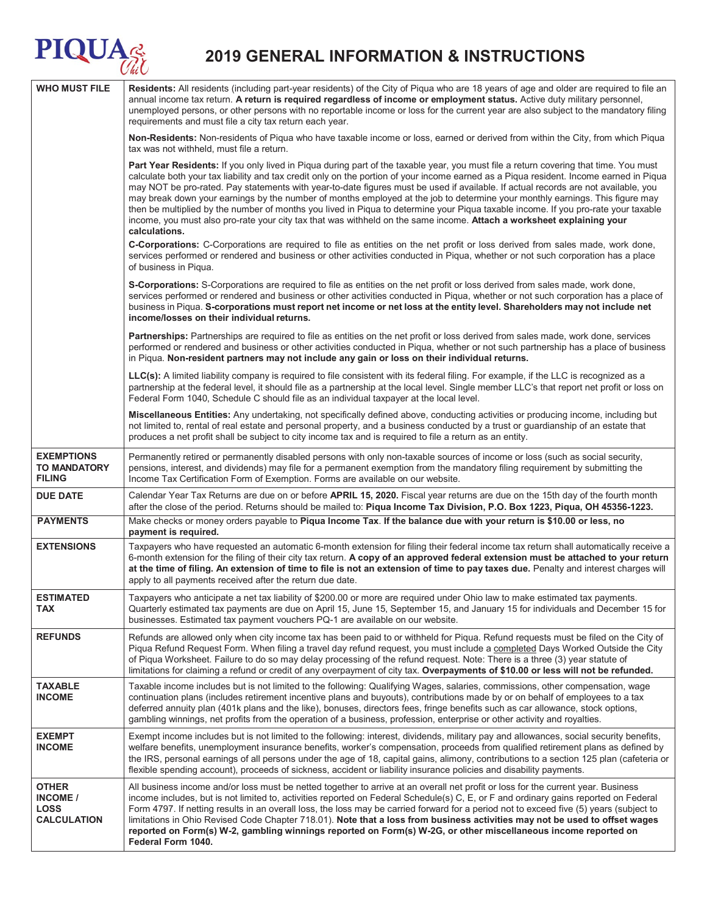# **2019 GENERAL INFORMATION & INSTRUCTIONS**

**PIQUA** 

| <b>WHO MUST FILE</b>                                                 | Residents: All residents (including part-year residents) of the City of Piqua who are 18 years of age and older are required to file an<br>annual income tax return. A return is required regardless of income or employment status. Active duty military personnel,<br>unemployed persons, or other persons with no reportable income or loss for the current year are also subject to the mandatory filing<br>requirements and must file a city tax return each year.                                                                                                                                                                                                                                                                                                                                                              |  |
|----------------------------------------------------------------------|--------------------------------------------------------------------------------------------------------------------------------------------------------------------------------------------------------------------------------------------------------------------------------------------------------------------------------------------------------------------------------------------------------------------------------------------------------------------------------------------------------------------------------------------------------------------------------------------------------------------------------------------------------------------------------------------------------------------------------------------------------------------------------------------------------------------------------------|--|
|                                                                      | Non-Residents: Non-residents of Piqua who have taxable income or loss, earned or derived from within the City, from which Piqua<br>tax was not withheld, must file a return.                                                                                                                                                                                                                                                                                                                                                                                                                                                                                                                                                                                                                                                         |  |
|                                                                      | Part Year Residents: If you only lived in Piqua during part of the taxable year, you must file a return covering that time. You must<br>calculate both your tax liability and tax credit only on the portion of your income earned as a Piqua resident. Income earned in Piqua<br>may NOT be pro-rated. Pay statements with year-to-date figures must be used if available. If actual records are not available, you<br>may break down your earnings by the number of months employed at the job to determine your monthly earnings. This figure may<br>then be multiplied by the number of months you lived in Piqua to determine your Piqua taxable income. If you pro-rate your taxable<br>income, you must also pro-rate your city tax that was withheld on the same income. Attach a worksheet explaining your<br>calculations. |  |
|                                                                      | C-Corporations: C-Corporations are required to file as entities on the net profit or loss derived from sales made, work done,<br>services performed or rendered and business or other activities conducted in Piqua, whether or not such corporation has a place<br>of business in Piqua.                                                                                                                                                                                                                                                                                                                                                                                                                                                                                                                                            |  |
|                                                                      | S-Corporations: S-Corporations are required to file as entities on the net profit or loss derived from sales made, work done,<br>services performed or rendered and business or other activities conducted in Piqua, whether or not such corporation has a place of<br>business in Piqua. S-corporations must report net income or net loss at the entity level. Shareholders may not include net<br>income/losses on their individual returns.                                                                                                                                                                                                                                                                                                                                                                                      |  |
|                                                                      | Partnerships: Partnerships are required to file as entities on the net profit or loss derived from sales made, work done, services<br>performed or rendered and business or other activities conducted in Piqua, whether or not such partnership has a place of business<br>in Piqua. Non-resident partners may not include any gain or loss on their individual returns.                                                                                                                                                                                                                                                                                                                                                                                                                                                            |  |
|                                                                      | LLC(s): A limited liability company is required to file consistent with its federal filing. For example, if the LLC is recognized as a<br>partnership at the federal level, it should file as a partnership at the local level. Single member LLC's that report net profit or loss on<br>Federal Form 1040, Schedule C should file as an individual taxpayer at the local level.                                                                                                                                                                                                                                                                                                                                                                                                                                                     |  |
|                                                                      | Miscellaneous Entities: Any undertaking, not specifically defined above, conducting activities or producing income, including but<br>not limited to, rental of real estate and personal property, and a business conducted by a trust or guardianship of an estate that<br>produces a net profit shall be subject to city income tax and is required to file a return as an entity.                                                                                                                                                                                                                                                                                                                                                                                                                                                  |  |
| <b>EXEMPTIONS</b><br><b>TO MANDATORY</b><br><b>FILING</b>            | Permanently retired or permanently disabled persons with only non-taxable sources of income or loss (such as social security,<br>pensions, interest, and dividends) may file for a permanent exemption from the mandatory filing requirement by submitting the<br>Income Tax Certification Form of Exemption. Forms are available on our website.                                                                                                                                                                                                                                                                                                                                                                                                                                                                                    |  |
| <b>DUE DATE</b>                                                      | Calendar Year Tax Returns are due on or before APRIL 15, 2020. Fiscal year returns are due on the 15th day of the fourth month<br>after the close of the period. Returns should be mailed to: Piqua Income Tax Division, P.O. Box 1223, Piqua, OH 45356-1223.                                                                                                                                                                                                                                                                                                                                                                                                                                                                                                                                                                        |  |
| <b>PAYMENTS</b>                                                      | Make checks or money orders payable to Piqua Income Tax. If the balance due with your return is \$10.00 or less, no<br>payment is required.                                                                                                                                                                                                                                                                                                                                                                                                                                                                                                                                                                                                                                                                                          |  |
| <b>EXTENSIONS</b>                                                    | Taxpayers who have requested an automatic 6-month extension for filing their federal income tax return shall automatically receive a<br>6-month extension for the filing of their city tax return. A copy of an approved federal extension must be attached to your return<br>at the time of filing. An extension of time to file is not an extension of time to pay taxes due. Penalty and interest charges will<br>apply to all payments received after the return due date.                                                                                                                                                                                                                                                                                                                                                       |  |
| <b>ESTIMATED</b><br><b>TAX</b>                                       | Taxpayers who anticipate a net tax liability of \$200.00 or more are required under Ohio law to make estimated tax payments.<br>Quarterly estimated tax payments are due on April 15, June 15, September 15, and January 15 for individuals and December 15 for<br>businesses. Estimated tax payment vouchers PQ-1 are available on our website.                                                                                                                                                                                                                                                                                                                                                                                                                                                                                     |  |
| <b>REFUNDS</b>                                                       | Refunds are allowed only when city income tax has been paid to or withheld for Piqua. Refund requests must be filed on the City of<br>Piqua Refund Request Form. When filing a travel day refund request, you must include a completed Days Worked Outside the City<br>of Piqua Worksheet. Failure to do so may delay processing of the refund request. Note: There is a three (3) year statute of<br>limitations for claiming a refund or credit of any overpayment of city tax. Overpayments of \$10.00 or less will not be refunded.                                                                                                                                                                                                                                                                                              |  |
| <b>TAXABLE</b><br><b>INCOME</b>                                      | Taxable income includes but is not limited to the following: Qualifying Wages, salaries, commissions, other compensation, wage<br>continuation plans (includes retirement incentive plans and buyouts), contributions made by or on behalf of employees to a tax<br>deferred annuity plan (401k plans and the like), bonuses, directors fees, fringe benefits such as car allowance, stock options,<br>gambling winnings, net profits from the operation of a business, profession, enterprise or other activity and royalties.                                                                                                                                                                                                                                                                                                      |  |
| <b>EXEMPT</b><br><b>INCOME</b>                                       | Exempt income includes but is not limited to the following: interest, dividends, military pay and allowances, social security benefits,<br>welfare benefits, unemployment insurance benefits, worker's compensation, proceeds from qualified retirement plans as defined by<br>the IRS, personal earnings of all persons under the age of 18, capital gains, alimony, contributions to a section 125 plan (cafeteria or<br>flexible spending account), proceeds of sickness, accident or liability insurance policies and disability payments.                                                                                                                                                                                                                                                                                       |  |
| <b>OTHER</b><br><b>INCOME</b> /<br><b>LOSS</b><br><b>CALCULATION</b> | All business income and/or loss must be netted together to arrive at an overall net profit or loss for the current year. Business<br>income includes, but is not limited to, activities reported on Federal Schedule(s) C, E, or F and ordinary gains reported on Federal<br>Form 4797. If netting results in an overall loss, the loss may be carried forward for a period not to exceed five (5) years (subject to<br>limitations in Ohio Revised Code Chapter 718.01). Note that a loss from business activities may not be used to offset wages<br>reported on Form(s) W-2, gambling winnings reported on Form(s) W-2G, or other miscellaneous income reported on<br>Federal Form 1040.                                                                                                                                          |  |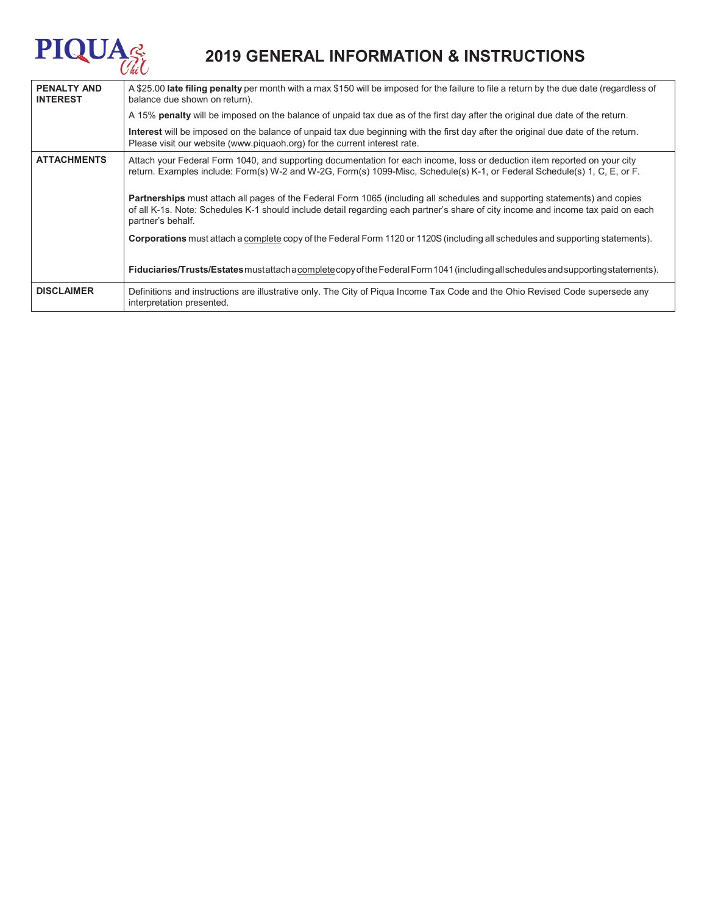# **PIQUA**

## **2019 GENERAL INFORMATION & INSTRUCTIONS**

| <b>PENALTY AND</b><br><b>INTEREST</b> | A \$25.00 late filing penalty per month with a max \$150 will be imposed for the failure to file a return by the due date (regardless of<br>balance due shown on return).                                                                                                                  |  |  |  |
|---------------------------------------|--------------------------------------------------------------------------------------------------------------------------------------------------------------------------------------------------------------------------------------------------------------------------------------------|--|--|--|
|                                       | A 15% penalty will be imposed on the balance of unpaid tax due as of the first day after the original due date of the return.                                                                                                                                                              |  |  |  |
|                                       | Interest will be imposed on the balance of unpaid tax due beginning with the first day after the original due date of the return.<br>Please visit our website (www.piquaoh.org) for the current interest rate.                                                                             |  |  |  |
| <b>ATTACHMENTS</b>                    | Attach your Federal Form 1040, and supporting documentation for each income, loss or deduction item reported on your city<br>return. Examples include: Form(s) W-2 and W-2G, Form(s) 1099-Misc, Schedule(s) K-1, or Federal Schedule(s) 1, C, E, or F.                                     |  |  |  |
|                                       | <b>Partnerships</b> must attach all pages of the Federal Form 1065 (including all schedules and supporting statements) and copies<br>of all K-1s. Note: Schedules K-1 should include detail regarding each partner's share of city income and income tax paid on each<br>partner's behalf. |  |  |  |
|                                       | Corporations must attach a complete copy of the Federal Form 1120 or 1120S (including all schedules and supporting statements).                                                                                                                                                            |  |  |  |
|                                       | Fiduciaries/Trusts/Estates mustattach a complete copy of the Federal Form 1041 (including all schedules and supporting statements).                                                                                                                                                        |  |  |  |
| <b>DISCLAIMER</b>                     | Definitions and instructions are illustrative only. The City of Piqua Income Tax Code and the Ohio Revised Code supersede any<br>interpretation presented.                                                                                                                                 |  |  |  |